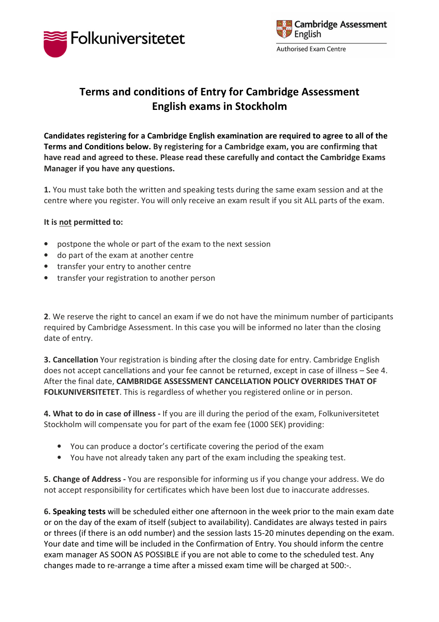



## Terms and conditions of Entry for Cambridge Assessment English exams in Stockholm

Candidates registering for a Cambridge English examination are required to agree to all of the Terms and Conditions below. By registering for a Cambridge exam, you are confirming that have read and agreed to these. Please read these carefully and contact the Cambridge Exams Manager if you have any questions.

1. You must take both the written and speaking tests during the same exam session and at the centre where you register. You will only receive an exam result if you sit ALL parts of the exam.

## It is not permitted to:

- postpone the whole or part of the exam to the next session
- do part of the exam at another centre
- transfer your entry to another centre
- transfer your registration to another person

2. We reserve the right to cancel an exam if we do not have the minimum number of participants required by Cambridge Assessment. In this case you will be informed no later than the closing date of entry.

3. Cancellation Your registration is binding after the closing date for entry. Cambridge English does not accept cancellations and your fee cannot be returned, except in case of illness – See 4. After the final date, CAMBRIDGE ASSESSMENT CANCELLATION POLICY OVERRIDES THAT OF FOLKUNIVERSITETET. This is regardless of whether you registered online or in person.

4. What to do in case of illness - If you are ill during the period of the exam, Folkuniversitetet Stockholm will compensate you for part of the exam fee (1000 SEK) providing:

- You can produce a doctor's certificate covering the period of the exam
- You have not already taken any part of the exam including the speaking test.

5. Change of Address - You are responsible for informing us if you change your address. We do not accept responsibility for certificates which have been lost due to inaccurate addresses.

6. Speaking tests will be scheduled either one afternoon in the week prior to the main exam date or on the day of the exam of itself (subject to availability). Candidates are always tested in pairs or threes (if there is an odd number) and the session lasts 15-20 minutes depending on the exam. Your date and time will be included in the Confirmation of Entry. You should inform the centre exam manager AS SOON AS POSSIBLE if you are not able to come to the scheduled test. Any changes made to re-arrange a time after a missed exam time will be charged at 500:-.